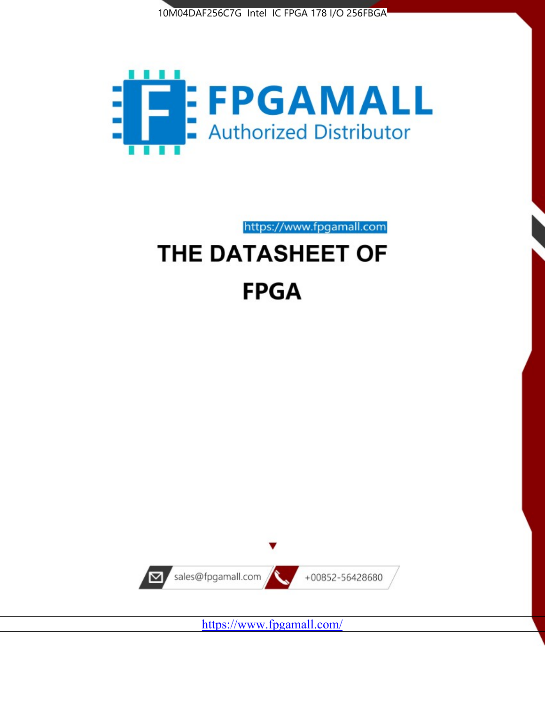



https://www.fpgamall.com THE DATASHEET OF

# **FPGA**



<https://www.fpgamall.com/>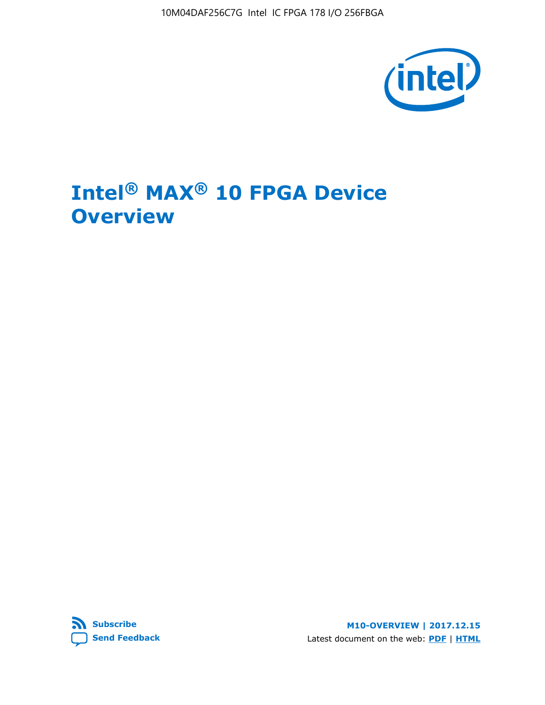10M04DAF256C7G Intel IC FPGA 178 I/O 256FBGA



# **Intel® MAX® 10 FPGA Device Overview**



**M10-OVERVIEW | 2017.12.15** Latest document on the web: **[PDF](https://www.altera.com/en_US/pdfs/literature/hb/max-10/m10_overview.pdf)** | **[HTML](https://www.altera.com/documentation/myt1396938463674.html)**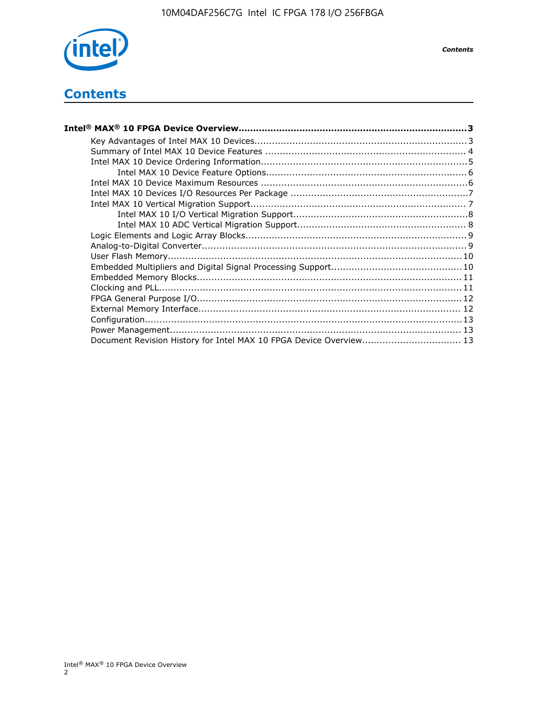

*Contents*

# **Contents**

| Intel® MAX® 10 FPGA Device Overview……………………………………………………………………………3  |  |
|--------------------------------------------------------------------|--|
|                                                                    |  |
|                                                                    |  |
|                                                                    |  |
|                                                                    |  |
|                                                                    |  |
|                                                                    |  |
|                                                                    |  |
|                                                                    |  |
|                                                                    |  |
|                                                                    |  |
|                                                                    |  |
|                                                                    |  |
|                                                                    |  |
|                                                                    |  |
|                                                                    |  |
|                                                                    |  |
|                                                                    |  |
|                                                                    |  |
|                                                                    |  |
| Document Revision History for Intel MAX 10 FPGA Device Overview 13 |  |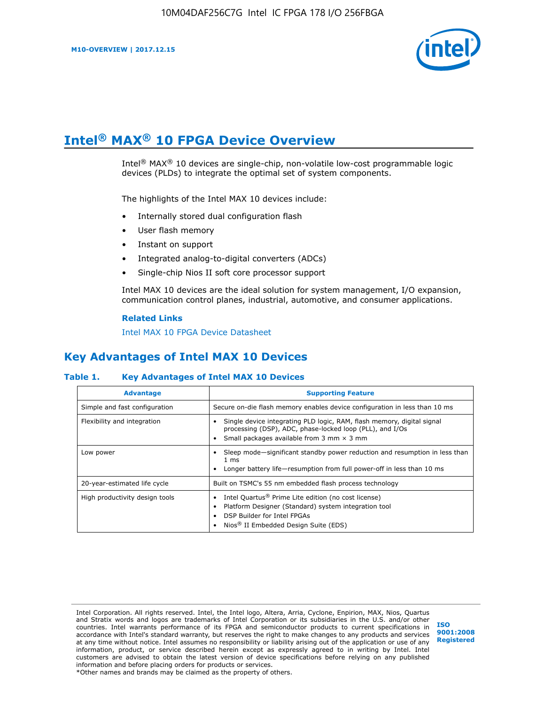

# **Intel® MAX® 10 FPGA Device Overview**

Intel® MAX® 10 devices are single-chip, non-volatile low-cost programmable logic devices (PLDs) to integrate the optimal set of system components.

The highlights of the Intel MAX 10 devices include:

- Internally stored dual configuration flash
- User flash memory
- Instant on support
- Integrated analog-to-digital converters (ADCs)
- Single-chip Nios II soft core processor support

Intel MAX 10 devices are the ideal solution for system management, I/O expansion, communication control planes, industrial, automotive, and consumer applications.

#### **Related Links**

[Intel MAX 10 FPGA Device Datasheet](https://www.altera.com/documentation/mcn1397700832153.html#mcn1397643748870)

## **Key Advantages of Intel MAX 10 Devices**

#### **Table 1. Key Advantages of Intel MAX 10 Devices**

| <b>Advantage</b>               | <b>Supporting Feature</b>                                                                                                                                                                                  |  |  |  |
|--------------------------------|------------------------------------------------------------------------------------------------------------------------------------------------------------------------------------------------------------|--|--|--|
| Simple and fast configuration  | Secure on-die flash memory enables device configuration in less than 10 ms                                                                                                                                 |  |  |  |
| Flexibility and integration    | Single device integrating PLD logic, RAM, flash memory, digital signal<br>processing (DSP), ADC, phase-locked loop (PLL), and I/Os<br>Small packages available from 3 mm $\times$ 3 mm                     |  |  |  |
| Low power                      | Sleep mode—significant standby power reduction and resumption in less than<br>$1 \text{ ms}$<br>Longer battery life—resumption from full power-off in less than 10 ms                                      |  |  |  |
| 20-year-estimated life cycle   | Built on TSMC's 55 nm embedded flash process technology                                                                                                                                                    |  |  |  |
| High productivity design tools | Intel Quartus <sup>®</sup> Prime Lite edition (no cost license)<br>Platform Designer (Standard) system integration tool<br>DSP Builder for Intel FPGAs<br>Nios <sup>®</sup> II Embedded Design Suite (EDS) |  |  |  |

Intel Corporation. All rights reserved. Intel, the Intel logo, Altera, Arria, Cyclone, Enpirion, MAX, Nios, Quartus and Stratix words and logos are trademarks of Intel Corporation or its subsidiaries in the U.S. and/or other countries. Intel warrants performance of its FPGA and semiconductor products to current specifications in accordance with Intel's standard warranty, but reserves the right to make changes to any products and services at any time without notice. Intel assumes no responsibility or liability arising out of the application or use of any information, product, or service described herein except as expressly agreed to in writing by Intel. Intel customers are advised to obtain the latest version of device specifications before relying on any published information and before placing orders for products or services. \*Other names and brands may be claimed as the property of others.

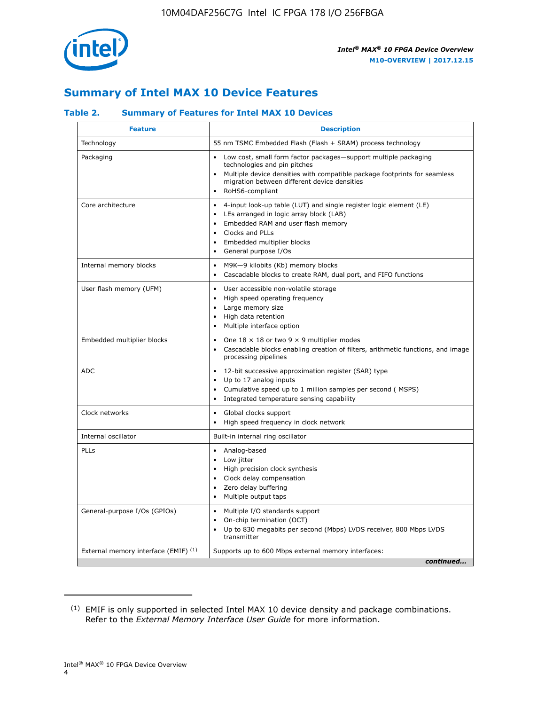

## **Summary of Intel MAX 10 Device Features**

#### **Table 2. Summary of Features for Intel MAX 10 Devices**

| <b>Feature</b>                       | <b>Description</b>                                                                                                                                                                                                                                                                                         |
|--------------------------------------|------------------------------------------------------------------------------------------------------------------------------------------------------------------------------------------------------------------------------------------------------------------------------------------------------------|
| Technology                           | 55 nm TSMC Embedded Flash (Flash + SRAM) process technology                                                                                                                                                                                                                                                |
| Packaging                            | Low cost, small form factor packages-support multiple packaging<br>technologies and pin pitches<br>Multiple device densities with compatible package footprints for seamless<br>migration between different device densities<br>RoHS6-compliant                                                            |
| Core architecture                    | 4-input look-up table (LUT) and single register logic element (LE)<br>$\bullet$<br>LEs arranged in logic array block (LAB)<br>$\bullet$<br>Embedded RAM and user flash memory<br>$\bullet$<br>Clocks and PLLs<br>$\bullet$<br>Embedded multiplier blocks<br>$\bullet$<br>General purpose I/Os<br>$\bullet$ |
| Internal memory blocks               | M9K-9 kilobits (Kb) memory blocks<br>$\bullet$<br>Cascadable blocks to create RAM, dual port, and FIFO functions<br>$\bullet$                                                                                                                                                                              |
| User flash memory (UFM)              | User accessible non-volatile storage<br>$\bullet$<br>High speed operating frequency<br>$\bullet$<br>Large memory size<br>High data retention<br>$\bullet$<br>Multiple interface option                                                                                                                     |
| Embedded multiplier blocks           | One $18 \times 18$ or two 9 $\times$ 9 multiplier modes<br>$\bullet$<br>Cascadable blocks enabling creation of filters, arithmetic functions, and image<br>processing pipelines                                                                                                                            |
| <b>ADC</b>                           | 12-bit successive approximation register (SAR) type<br>$\bullet$<br>Up to 17 analog inputs<br>$\bullet$<br>Cumulative speed up to 1 million samples per second (MSPS)<br>Integrated temperature sensing capability<br>$\bullet$                                                                            |
| Clock networks                       | Global clocks support<br>$\bullet$<br>High speed frequency in clock network                                                                                                                                                                                                                                |
| Internal oscillator                  | Built-in internal ring oscillator                                                                                                                                                                                                                                                                          |
| PLLs                                 | • Analog-based<br>Low jitter<br>$\bullet$<br>High precision clock synthesis<br>$\bullet$<br>Clock delay compensation<br>$\bullet$<br>Zero delay buffering<br>$\bullet$<br>Multiple output taps<br>$\bullet$                                                                                                |
| General-purpose I/Os (GPIOs)         | • Multiple I/O standards support<br>On-chip termination (OCT)<br>$\bullet$<br>Up to 830 megabits per second (Mbps) LVDS receiver, 800 Mbps LVDS<br>transmitter                                                                                                                                             |
| External memory interface (EMIF) (1) | Supports up to 600 Mbps external memory interfaces:<br>continued                                                                                                                                                                                                                                           |

<sup>(1)</sup> EMIF is only supported in selected Intel MAX 10 device density and package combinations. Refer to the *External Memory Interface User Guide* for more information.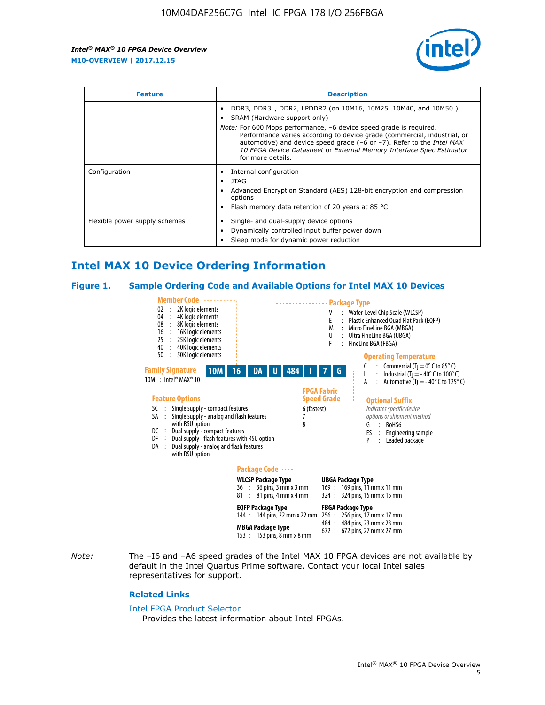

| <b>Feature</b>                | <b>Description</b>                                                                                                                                                                                                                                                                                                                 |  |  |  |
|-------------------------------|------------------------------------------------------------------------------------------------------------------------------------------------------------------------------------------------------------------------------------------------------------------------------------------------------------------------------------|--|--|--|
|                               | DDR3, DDR3L, DDR2, LPDDR2 (on 10M16, 10M25, 10M40, and 10M50.)<br>SRAM (Hardware support only)                                                                                                                                                                                                                                     |  |  |  |
|                               | <i>Note:</i> For 600 Mbps performance, -6 device speed grade is required.<br>Performance varies according to device grade (commercial, industrial, or<br>automotive) and device speed grade (-6 or -7). Refer to the <i>Intel MAX</i><br>10 FPGA Device Datasheet or External Memory Interface Spec Estimator<br>for more details. |  |  |  |
| Configuration                 | Internal configuration                                                                                                                                                                                                                                                                                                             |  |  |  |
|                               | JTAG<br>$\bullet$                                                                                                                                                                                                                                                                                                                  |  |  |  |
|                               | Advanced Encryption Standard (AES) 128-bit encryption and compression<br>options                                                                                                                                                                                                                                                   |  |  |  |
|                               | Flash memory data retention of 20 years at 85 $^{\circ}$ C                                                                                                                                                                                                                                                                         |  |  |  |
| Flexible power supply schemes | Single- and dual-supply device options<br>Dynamically controlled input buffer power down<br>Sleep mode for dynamic power reduction                                                                                                                                                                                                 |  |  |  |

## **Intel MAX 10 Device Ordering Information**

#### **Figure 1. Sample Ordering Code and Available Options for Intel MAX 10 Devices**



*Note:* The –I6 and –A6 speed grades of the Intel MAX 10 FPGA devices are not available by default in the Intel Quartus Prime software. Contact your local Intel sales representatives for support.

#### **Related Links**

#### [Intel FPGA Product Selector](http://www.altera.com/products/selector/psg-selector.html)

Provides the latest information about Intel FPGAs.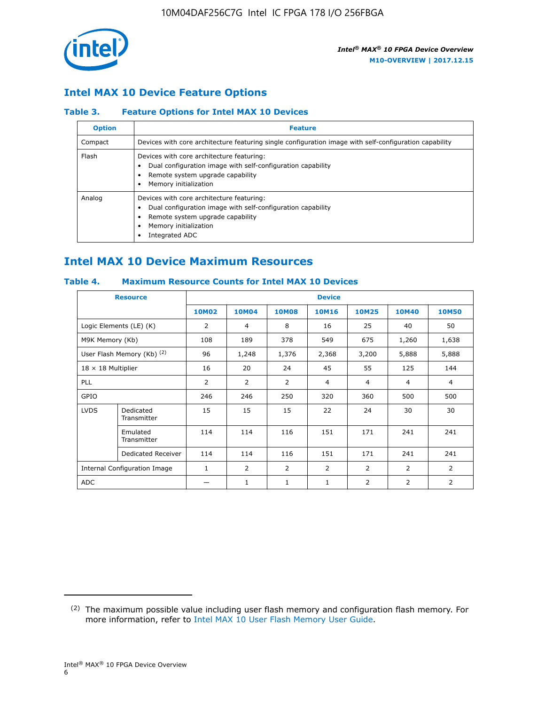

## **Intel MAX 10 Device Feature Options**

#### **Table 3. Feature Options for Intel MAX 10 Devices**

| <b>Option</b> | <b>Feature</b>                                                                                                                                                                          |
|---------------|-----------------------------------------------------------------------------------------------------------------------------------------------------------------------------------------|
| Compact       | Devices with core architecture featuring single configuration image with self-configuration capability                                                                                  |
| Flash         | Devices with core architecture featuring:<br>Dual configuration image with self-configuration capability<br>Remote system upgrade capability<br>Memory initialization                   |
| Analog        | Devices with core architecture featuring:<br>Dual configuration image with self-configuration capability<br>Remote system upgrade capability<br>Memory initialization<br>Integrated ADC |

## **Intel MAX 10 Device Maximum Resources**

#### **Table 4. Maximum Resource Counts for Intel MAX 10 Devices**

| <b>Resource</b>              |                            |              |                |              | <b>Device</b>  |                |              |                |
|------------------------------|----------------------------|--------------|----------------|--------------|----------------|----------------|--------------|----------------|
|                              |                            | <b>10M02</b> | 10M04          | <b>10M08</b> | <b>10M16</b>   | <b>10M25</b>   | <b>10M40</b> | <b>10M50</b>   |
|                              | Logic Elements (LE) (K)    | 2            | 4              | 8            | 16             | 25             | 40           | 50             |
| M9K Memory (Kb)              |                            | 108          | 189            | 378          | 549            | 675            | 1,260        | 1,638          |
|                              | User Flash Memory (Kb) (2) | 96           | 1,248          | 1,376        | 2,368          | 3,200          | 5,888        | 5,888          |
| $18 \times 18$ Multiplier    |                            | 16           | 20             | 24           | 45             | 55             | 125          | 144            |
| <b>PLL</b>                   |                            | 2            | $\overline{2}$ | 2            | $\overline{4}$ | $\overline{4}$ | 4            | $\overline{4}$ |
| GPIO                         |                            | 246          | 246            | 250          | 320            | 360            | 500          | 500            |
| <b>LVDS</b>                  | Dedicated<br>Transmitter   | 15           | 15             | 15           | 22             | 24             | 30           | 30             |
|                              | Emulated<br>Transmitter    | 114          | 114            | 116          | 151            | 171            | 241          | 241            |
|                              | Dedicated Receiver         | 114          | 114            | 116          | 151            | 171            | 241          | 241            |
| Internal Configuration Image |                            | $\mathbf{1}$ | $\overline{2}$ | 2            | $\overline{2}$ | $\overline{2}$ | 2            | $\overline{2}$ |
| ADC                          |                            |              | 1              | $\mathbf{1}$ | $\mathbf{1}$   | 2              | 2            | 2              |

<sup>(2)</sup> The maximum possible value including user flash memory and configuration flash memory. For more information, refer to [Intel MAX 10 User Flash Memory User Guide](https://www.altera.com/documentation/vgo1395753117436.html#vgo1395811844282).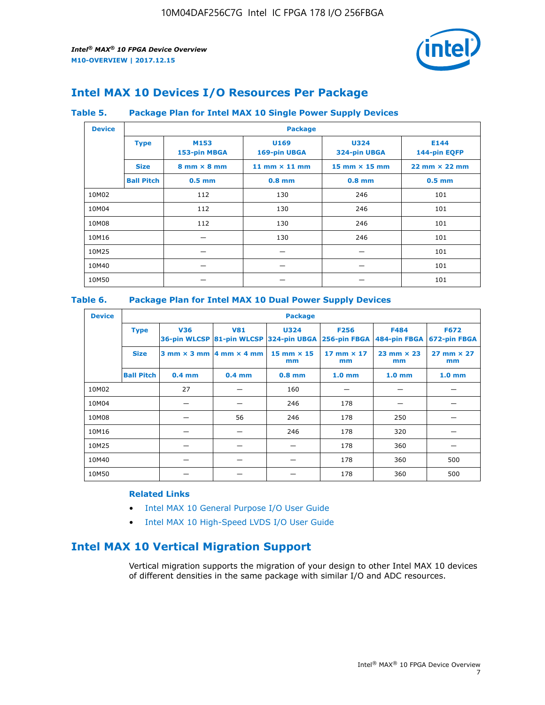

## **Intel MAX 10 Devices I/O Resources Per Package**

#### **Table 5. Package Plan for Intel MAX 10 Single Power Supply Devices**

| <b>Device</b> | <b>Package</b>    |                                                                             |                      |                        |                                      |  |  |  |
|---------------|-------------------|-----------------------------------------------------------------------------|----------------------|------------------------|--------------------------------------|--|--|--|
|               | <b>Type</b>       | U169<br><b>U324</b><br>M153<br>153-pin MBGA<br>169-pin UBGA<br>324-pin UBGA |                      |                        | E144<br>144-pin EQFP                 |  |  |  |
|               | <b>Size</b>       | $8 \text{ mm} \times 8 \text{ mm}$                                          | 11 mm $\times$ 11 mm | $15$ mm $\times$ 15 mm | $22 \text{ mm} \times 22 \text{ mm}$ |  |  |  |
|               | <b>Ball Pitch</b> | $0.5$ mm                                                                    | $0.8$ mm             | $0.8$ mm               | $0.5$ mm                             |  |  |  |
| 10M02         |                   | 112                                                                         | 130                  | 246                    | 101                                  |  |  |  |
| 10M04         |                   | 112                                                                         | 130                  | 246                    | 101                                  |  |  |  |
| 10M08         |                   | 112                                                                         | 130                  | 246                    | 101                                  |  |  |  |
| 10M16         |                   |                                                                             | 130                  | 246                    | 101                                  |  |  |  |
| 10M25         |                   |                                                                             |                      |                        | 101                                  |  |  |  |
| 10M40         |                   |                                                                             |                      |                        | 101                                  |  |  |  |
| 10M50         |                   |                                                                             |                      |                        | 101                                  |  |  |  |

#### **Table 6. Package Plan for Intel MAX 10 Dual Power Supply Devices**

| <b>Device</b> |                   | <b>Package</b> |                                            |                                                                    |                         |                           |                             |  |  |  |
|---------------|-------------------|----------------|--------------------------------------------|--------------------------------------------------------------------|-------------------------|---------------------------|-----------------------------|--|--|--|
|               | <b>Type</b>       | <b>V36</b>     | <b>V81</b>                                 | <b>U324</b><br>36-pin WLCSP 81-pin WLCSP 324-pin UBGA 256-pin FBGA | <b>F256</b>             | F484<br>484-pin FBGA      | <b>F672</b><br>672-pin FBGA |  |  |  |
|               | <b>Size</b>       |                | $3$ mm $\times$ 3 mm $ 4$ mm $\times$ 4 mm | $15$ mm $\times$ 15<br>mm                                          | 17 mm $\times$ 17<br>mm | $23$ mm $\times$ 23<br>mm | $27$ mm $\times$ 27<br>mm   |  |  |  |
|               | <b>Ball Pitch</b> | $0.4$ mm       | $0.4$ mm                                   | $0.8$ mm                                                           | 1.0 <sub>mm</sub>       | 1.0 <sub>mm</sub>         | 1.0 <sub>mm</sub>           |  |  |  |
| 10M02         |                   | 27             |                                            | 160                                                                |                         |                           |                             |  |  |  |
| 10M04         |                   |                |                                            | 246                                                                | 178                     |                           |                             |  |  |  |
| 10M08         |                   |                | 56                                         | 246                                                                | 178                     | 250                       |                             |  |  |  |
| 10M16         |                   |                |                                            | 246                                                                | 178                     | 320                       |                             |  |  |  |
| 10M25         |                   |                |                                            |                                                                    | 178                     | 360                       |                             |  |  |  |
| 10M40         |                   |                |                                            |                                                                    | 178                     | 360                       | 500                         |  |  |  |
| 10M50         |                   |                |                                            |                                                                    | 178                     | 360                       | 500                         |  |  |  |

#### **Related Links**

- [Intel MAX 10 General Purpose I/O User Guide](https://www.altera.com/documentation/sam1393999966669.html#sam1394000084476)
- [Intel MAX 10 High-Speed LVDS I/O User Guide](https://www.altera.com/documentation/sam1394433606063.html#sam1394433911642)

## **Intel MAX 10 Vertical Migration Support**

Vertical migration supports the migration of your design to other Intel MAX 10 devices of different densities in the same package with similar I/O and ADC resources.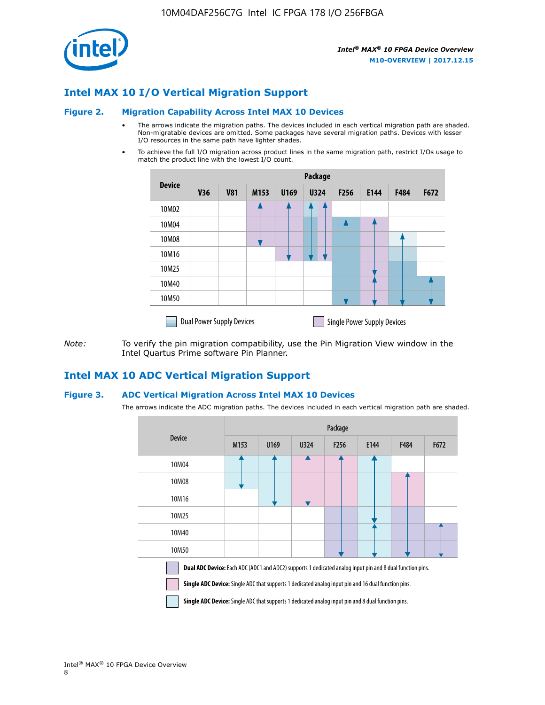

## **Intel MAX 10 I/O Vertical Migration Support**

#### **Figure 2. Migration Capability Across Intel MAX 10 Devices**

- The arrows indicate the migration paths. The devices included in each vertical migration path are shaded. Non-migratable devices are omitted. Some packages have several migration paths. Devices with lesser I/O resources in the same path have lighter shades.
- To achieve the full I/O migration across product lines in the same migration path, restrict I/Os usage to match the product line with the lowest I/O count.

|               | <b>Package</b>                   |            |      |      |             |                  |                                    |      |      |  |
|---------------|----------------------------------|------------|------|------|-------------|------------------|------------------------------------|------|------|--|
| <b>Device</b> | <b>V36</b>                       | <b>V81</b> | M153 | U169 | <b>U324</b> | F <sub>256</sub> | E144                               | F484 | F672 |  |
| 10M02         |                                  |            |      |      | 7           |                  |                                    |      |      |  |
| 10M04         |                                  |            |      |      |             |                  |                                    |      |      |  |
| 10M08         |                                  |            |      |      |             |                  |                                    |      |      |  |
| 10M16         |                                  |            |      |      |             |                  |                                    |      |      |  |
| 10M25         |                                  |            |      |      |             |                  |                                    |      |      |  |
| 10M40         |                                  |            |      |      |             |                  |                                    |      |      |  |
| 10M50         |                                  |            |      |      |             |                  |                                    |      |      |  |
|               | <b>Dual Power Supply Devices</b> |            |      |      |             |                  | <b>Single Power Supply Devices</b> |      |      |  |

*Note:* To verify the pin migration compatibility, use the Pin Migration View window in the Intel Quartus Prime software Pin Planner.

### **Intel MAX 10 ADC Vertical Migration Support**

#### **Figure 3. ADC Vertical Migration Across Intel MAX 10 Devices**

The arrows indicate the ADC migration paths. The devices included in each vertical migration path are shaded.

|                                                                                                                                                                                                                         | Package          |      |      |                  |      |             |      |  |  |
|-------------------------------------------------------------------------------------------------------------------------------------------------------------------------------------------------------------------------|------------------|------|------|------------------|------|-------------|------|--|--|
| <b>Device</b>                                                                                                                                                                                                           | M <sub>153</sub> | U169 | U324 | F <sub>256</sub> | E144 | <b>F484</b> | F672 |  |  |
| 10M04                                                                                                                                                                                                                   |                  |      |      |                  |      |             |      |  |  |
| 10M08                                                                                                                                                                                                                   |                  |      |      |                  |      |             |      |  |  |
| 10M16                                                                                                                                                                                                                   |                  |      |      |                  |      |             |      |  |  |
| 10M25                                                                                                                                                                                                                   |                  |      |      |                  |      |             |      |  |  |
| 10M40                                                                                                                                                                                                                   |                  |      |      |                  |      |             |      |  |  |
| 10M50                                                                                                                                                                                                                   |                  |      |      |                  |      |             |      |  |  |
| <b>Dual ADC Device:</b> Each ADC (ADC1 and ADC2) supports 1 dedicated analog input pin and 8 dual function pins.<br>Single ADC Device: Single ADC that supports 1 dedicated analog input pin and 16 dual function pins. |                  |      |      |                  |      |             |      |  |  |

**Single ADC Device:** Single ADC that supports 1 dedicated analog input pin and 8 dual function pins.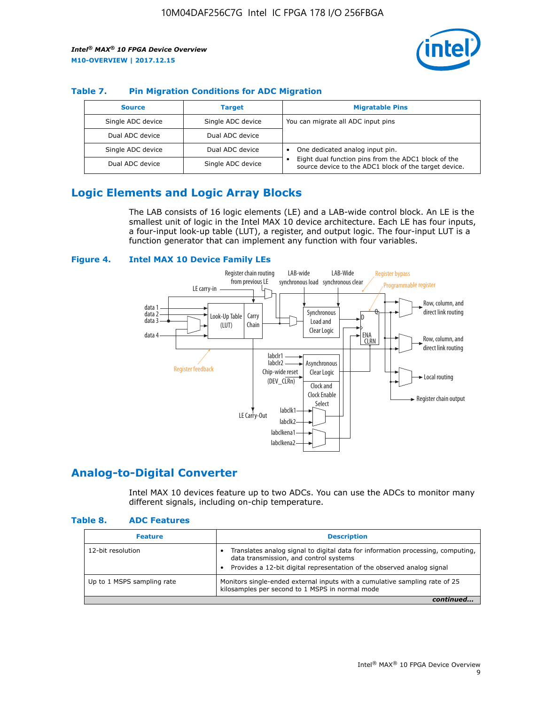

#### **Table 7. Pin Migration Conditions for ADC Migration**

| <b>Source</b>     | <b>Target</b>     | <b>Migratable Pins</b>                                                                                            |
|-------------------|-------------------|-------------------------------------------------------------------------------------------------------------------|
| Single ADC device | Single ADC device | You can migrate all ADC input pins                                                                                |
| Dual ADC device   | Dual ADC device   |                                                                                                                   |
| Single ADC device | Dual ADC device   | One dedicated analog input pin.                                                                                   |
| Dual ADC device   | Single ADC device | Eight dual function pins from the ADC1 block of the<br>٠<br>source device to the ADC1 block of the target device. |

## **Logic Elements and Logic Array Blocks**

The LAB consists of 16 logic elements (LE) and a LAB-wide control block. An LE is the smallest unit of logic in the Intel MAX 10 device architecture. Each LE has four inputs, a four-input look-up table (LUT), a register, and output logic. The four-input LUT is a function generator that can implement any function with four variables.

#### **Figure 4. Intel MAX 10 Device Family LEs**



## **Analog-to-Digital Converter**

Intel MAX 10 devices feature up to two ADCs. You can use the ADCs to monitor many different signals, including on-chip temperature.

#### **Table 8. ADC Features**

| <b>Feature</b>             | <b>Description</b>                                                                                                                                                                                  |
|----------------------------|-----------------------------------------------------------------------------------------------------------------------------------------------------------------------------------------------------|
| 12-bit resolution          | Translates analog signal to digital data for information processing, computing,<br>data transmission, and control systems<br>Provides a 12-bit digital representation of the observed analog signal |
| Up to 1 MSPS sampling rate | Monitors single-ended external inputs with a cumulative sampling rate of 25<br>kilosamples per second to 1 MSPS in normal mode                                                                      |
|                            |                                                                                                                                                                                                     |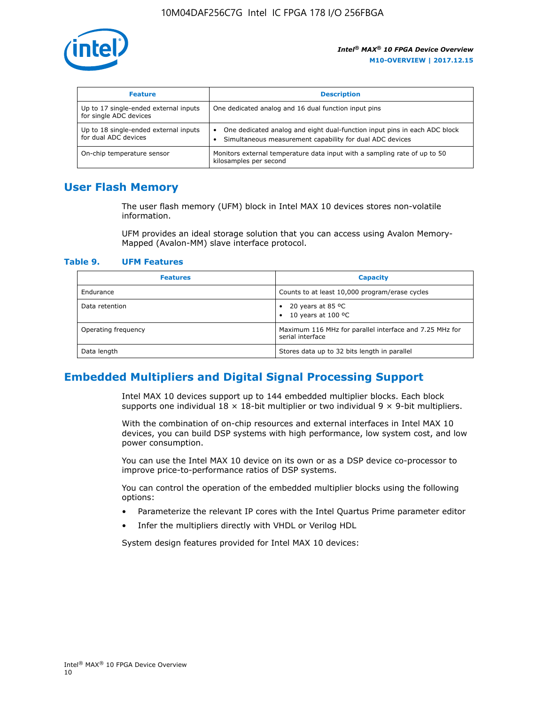

| <b>Feature</b>                                                  | <b>Description</b>                                                                                                                         |
|-----------------------------------------------------------------|--------------------------------------------------------------------------------------------------------------------------------------------|
| Up to 17 single-ended external inputs<br>for single ADC devices | One dedicated analog and 16 dual function input pins                                                                                       |
| Up to 18 single-ended external inputs<br>for dual ADC devices   | One dedicated analog and eight dual-function input pins in each ADC block<br>٠<br>Simultaneous measurement capability for dual ADC devices |
| On-chip temperature sensor                                      | Monitors external temperature data input with a sampling rate of up to 50<br>kilosamples per second                                        |

## **User Flash Memory**

The user flash memory (UFM) block in Intel MAX 10 devices stores non-volatile information.

UFM provides an ideal storage solution that you can access using Avalon Memory-Mapped (Avalon-MM) slave interface protocol.

#### **Table 9. UFM Features**

| <b>Features</b>     | <b>Capacity</b>                                                             |
|---------------------|-----------------------------------------------------------------------------|
| Endurance           | Counts to at least 10,000 program/erase cycles                              |
| Data retention      | 20 years at 85 $^{\circ}$ C<br>٠<br>10 years at 100 °C<br>$\bullet$         |
| Operating frequency | Maximum 116 MHz for parallel interface and 7.25 MHz for<br>serial interface |
| Data length         | Stores data up to 32 bits length in parallel                                |

## **Embedded Multipliers and Digital Signal Processing Support**

Intel MAX 10 devices support up to 144 embedded multiplier blocks. Each block supports one individual  $18 \times 18$ -bit multiplier or two individual  $9 \times 9$ -bit multipliers.

With the combination of on-chip resources and external interfaces in Intel MAX 10 devices, you can build DSP systems with high performance, low system cost, and low power consumption.

You can use the Intel MAX 10 device on its own or as a DSP device co-processor to improve price-to-performance ratios of DSP systems.

You can control the operation of the embedded multiplier blocks using the following options:

- Parameterize the relevant IP cores with the Intel Quartus Prime parameter editor
- Infer the multipliers directly with VHDL or Verilog HDL

System design features provided for Intel MAX 10 devices: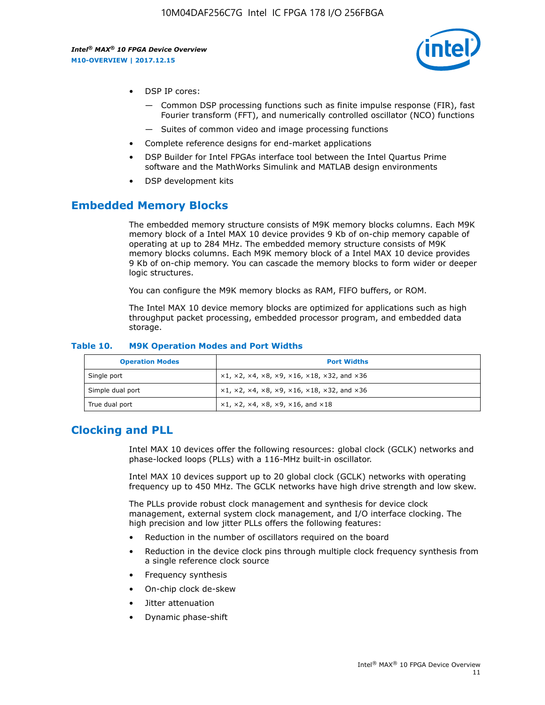

- DSP IP cores:
	- Common DSP processing functions such as finite impulse response (FIR), fast Fourier transform (FFT), and numerically controlled oscillator (NCO) functions
	- Suites of common video and image processing functions
- Complete reference designs for end-market applications
- DSP Builder for Intel FPGAs interface tool between the Intel Quartus Prime software and the MathWorks Simulink and MATLAB design environments
- DSP development kits

## **Embedded Memory Blocks**

The embedded memory structure consists of M9K memory blocks columns. Each M9K memory block of a Intel MAX 10 device provides 9 Kb of on-chip memory capable of operating at up to 284 MHz. The embedded memory structure consists of M9K memory blocks columns. Each M9K memory block of a Intel MAX 10 device provides 9 Kb of on-chip memory. You can cascade the memory blocks to form wider or deeper logic structures.

You can configure the M9K memory blocks as RAM, FIFO buffers, or ROM.

The Intel MAX 10 device memory blocks are optimized for applications such as high throughput packet processing, embedded processor program, and embedded data storage.

| <b>Operation Modes</b> | <b>Port Widths</b>                                                            |
|------------------------|-------------------------------------------------------------------------------|
| Single port            | $x1, x2, x4, x8, x9, x16, x18, x32, and x36$                                  |
| Simple dual port       | $x1, x2, x4, x8, x9, x16, x18, x32, and x36$                                  |
| True dual port         | $\times1, \times2, \times4, \times8, \times9, \times16, \text{and } \times18$ |

#### **Table 10. M9K Operation Modes and Port Widths**

## **Clocking and PLL**

Intel MAX 10 devices offer the following resources: global clock (GCLK) networks and phase-locked loops (PLLs) with a 116-MHz built-in oscillator.

Intel MAX 10 devices support up to 20 global clock (GCLK) networks with operating frequency up to 450 MHz. The GCLK networks have high drive strength and low skew.

The PLLs provide robust clock management and synthesis for device clock management, external system clock management, and I/O interface clocking. The high precision and low jitter PLLs offers the following features:

- Reduction in the number of oscillators required on the board
- Reduction in the device clock pins through multiple clock frequency synthesis from a single reference clock source
- Frequency synthesis
- On-chip clock de-skew
- Jitter attenuation
- Dynamic phase-shift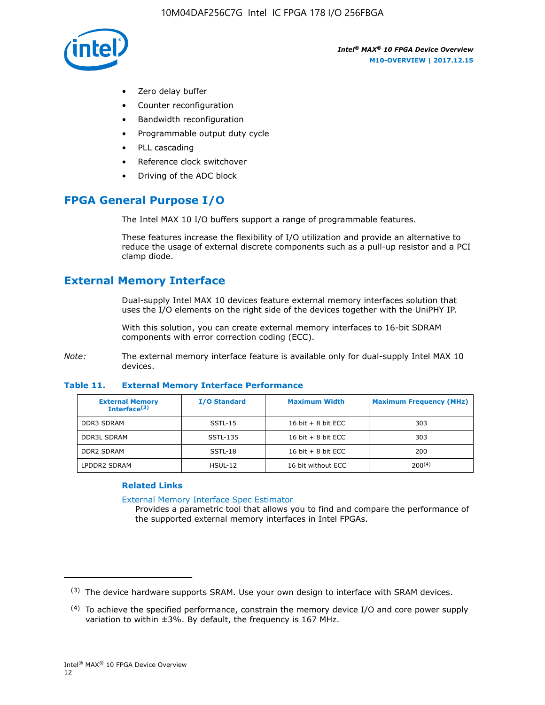

- Zero delay buffer
- Counter reconfiguration
- Bandwidth reconfiguration
- Programmable output duty cycle
- PLL cascading
- Reference clock switchover
- Driving of the ADC block

## **FPGA General Purpose I/O**

The Intel MAX 10 I/O buffers support a range of programmable features.

These features increase the flexibility of I/O utilization and provide an alternative to reduce the usage of external discrete components such as a pull-up resistor and a PCI clamp diode.

## **External Memory Interface**

Dual-supply Intel MAX 10 devices feature external memory interfaces solution that uses the I/O elements on the right side of the devices together with the UniPHY IP.

With this solution, you can create external memory interfaces to 16-bit SDRAM components with error correction coding (ECC).

*Note:* The external memory interface feature is available only for dual-supply Intel MAX 10 devices.

#### **Table 11. External Memory Interface Performance**

| <b>External Memory</b><br>Interface $(3)$ | <b>I/O Standard</b> | <b>Maximum Width</b> | <b>Maximum Frequency (MHz)</b> |
|-------------------------------------------|---------------------|----------------------|--------------------------------|
| <b>DDR3 SDRAM</b>                         | SSTL-15             | 16 bit $+8$ bit ECC  | 303                            |
| <b>DDR3L SDRAM</b>                        | SSTL-135            | 16 bit $+8$ bit ECC  | 303                            |
| <b>DDR2 SDRAM</b>                         | SSTL-18             | 16 bit $+8$ bit ECC  | 200                            |
| LPDDR2 SDRAM                              | $H$ SUL-12          | 16 bit without ECC   | $200^{(4)}$                    |

#### **Related Links**

[External Memory Interface Spec Estimator](http://www.altera.com/technology/memory/estimator/mem-emif-index.html)

Provides a parametric tool that allows you to find and compare the performance of the supported external memory interfaces in Intel FPGAs.

 $(3)$  The device hardware supports SRAM. Use your own design to interface with SRAM devices.

 $(4)$  To achieve the specified performance, constrain the memory device I/O and core power supply variation to within ±3%. By default, the frequency is 167 MHz.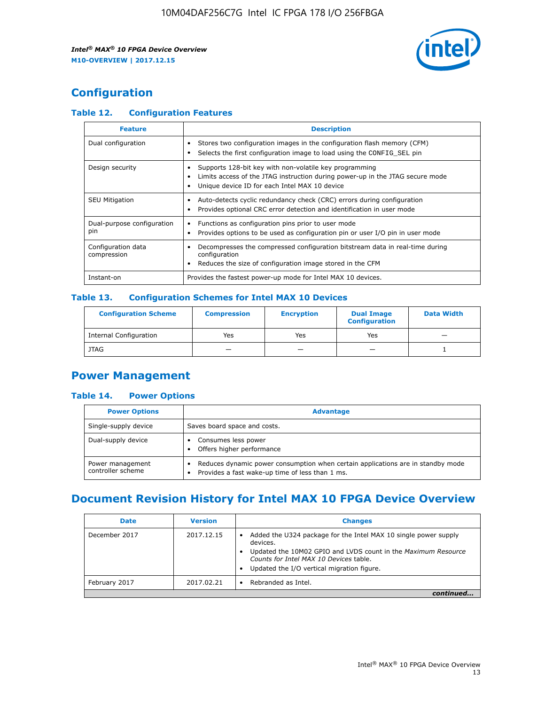

## **Configuration**

#### **Table 12. Configuration Features**

| <b>Feature</b>                    | <b>Description</b>                                                                                                                                                                       |
|-----------------------------------|------------------------------------------------------------------------------------------------------------------------------------------------------------------------------------------|
| Dual configuration                | Stores two configuration images in the configuration flash memory (CFM)<br>Selects the first configuration image to load using the CONFIG SEL pin                                        |
| Design security                   | Supports 128-bit key with non-volatile key programming<br>Limits access of the JTAG instruction during power-up in the JTAG secure mode<br>Unique device ID for each Intel MAX 10 device |
| <b>SEU Mitigation</b>             | Auto-detects cyclic redundancy check (CRC) errors during configuration<br>Provides optional CRC error detection and identification in user mode                                          |
| Dual-purpose configuration<br>pin | Functions as configuration pins prior to user mode<br>Provides options to be used as configuration pin or user I/O pin in user mode                                                      |
| Configuration data<br>compression | Decompresses the compressed configuration bitstream data in real-time during<br>configuration<br>Reduces the size of configuration image stored in the CFM                               |
| Instant-on                        | Provides the fastest power-up mode for Intel MAX 10 devices.                                                                                                                             |

#### **Table 13. Configuration Schemes for Intel MAX 10 Devices**

| <b>Configuration Scheme</b>   | <b>Compression</b>       | <b>Encryption</b> | <b>Dual Image</b><br><b>Configuration</b> | <b>Data Width</b> |
|-------------------------------|--------------------------|-------------------|-------------------------------------------|-------------------|
| <b>Internal Configuration</b> | Yes                      | Yes               | Yes                                       |                   |
| <b>JTAG</b>                   | $\overline{\phantom{a}}$ |                   | -                                         |                   |

## **Power Management**

#### **Table 14. Power Options**

| <b>Power Options</b>                  | <b>Advantage</b>                                                                                                                        |  |
|---------------------------------------|-----------------------------------------------------------------------------------------------------------------------------------------|--|
| Single-supply device                  | Saves board space and costs.                                                                                                            |  |
| Dual-supply device                    | Consumes less power<br>Offers higher performance<br>$\bullet$                                                                           |  |
| Power management<br>controller scheme | Reduces dynamic power consumption when certain applications are in standby mode<br>Provides a fast wake-up time of less than 1 ms.<br>٠ |  |

## **Document Revision History for Intel MAX 10 FPGA Device Overview**

| <b>Date</b>   | <b>Version</b> | <b>Changes</b>                                                                                                                                                                                                                       |
|---------------|----------------|--------------------------------------------------------------------------------------------------------------------------------------------------------------------------------------------------------------------------------------|
| December 2017 | 2017.12.15     | Added the U324 package for the Intel MAX 10 single power supply<br>devices.<br>Updated the 10M02 GPIO and LVDS count in the Maximum Resource<br>Counts for Intel MAX 10 Devices table.<br>Updated the I/O vertical migration figure. |
| February 2017 | 2017.02.21     | Rebranded as Intel.                                                                                                                                                                                                                  |
|               |                |                                                                                                                                                                                                                                      |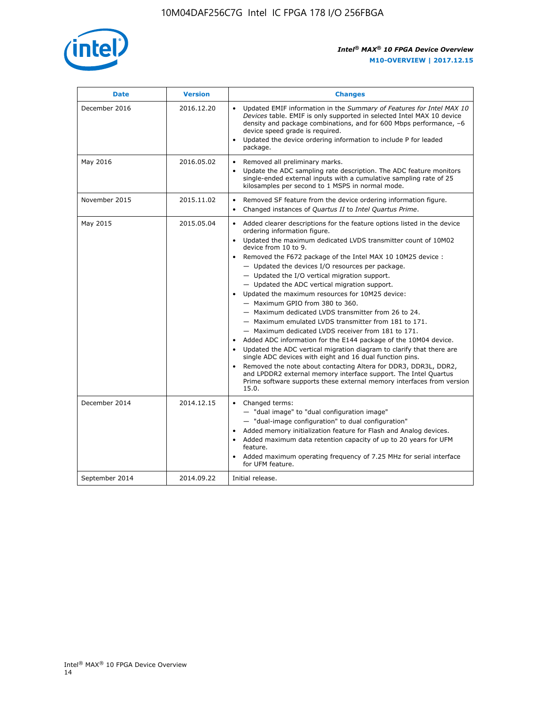

| <b>Date</b>    | <b>Version</b> | <b>Changes</b>                                                                                                                                                                                                                                                                                                                                                                                                                                                                                                                                                                                                                                                                                                                                                                                                                                                                                                                                                                                                                                                                                                                                           |  |
|----------------|----------------|----------------------------------------------------------------------------------------------------------------------------------------------------------------------------------------------------------------------------------------------------------------------------------------------------------------------------------------------------------------------------------------------------------------------------------------------------------------------------------------------------------------------------------------------------------------------------------------------------------------------------------------------------------------------------------------------------------------------------------------------------------------------------------------------------------------------------------------------------------------------------------------------------------------------------------------------------------------------------------------------------------------------------------------------------------------------------------------------------------------------------------------------------------|--|
| December 2016  | 2016.12.20     | • Updated EMIF information in the Summary of Features for Intel MAX 10<br>Devices table. EMIF is only supported in selected Intel MAX 10 device<br>density and package combinations, and for 600 Mbps performance, -6<br>device speed grade is required.<br>Updated the device ordering information to include P for leaded<br>package.                                                                                                                                                                                                                                                                                                                                                                                                                                                                                                                                                                                                                                                                                                                                                                                                                  |  |
| May 2016       | 2016.05.02     | Removed all preliminary marks.<br>Update the ADC sampling rate description. The ADC feature monitors<br>$\bullet$<br>single-ended external inputs with a cumulative sampling rate of 25<br>kilosamples per second to 1 MSPS in normal mode.                                                                                                                                                                                                                                                                                                                                                                                                                                                                                                                                                                                                                                                                                                                                                                                                                                                                                                              |  |
| November 2015  | 2015.11.02     | Removed SF feature from the device ordering information figure.<br>$\bullet$<br>Changed instances of Quartus II to Intel Quartus Prime.<br>$\bullet$                                                                                                                                                                                                                                                                                                                                                                                                                                                                                                                                                                                                                                                                                                                                                                                                                                                                                                                                                                                                     |  |
| May 2015       | 2015.05.04     | Added clearer descriptions for the feature options listed in the device<br>$\bullet$<br>ordering information figure.<br>Updated the maximum dedicated LVDS transmitter count of 10M02<br>$\bullet$<br>device from 10 to 9.<br>Removed the F672 package of the Intel MAX 10 10M25 device :<br>- Updated the devices I/O resources per package.<br>$-$ Updated the I/O vertical migration support.<br>- Updated the ADC vertical migration support.<br>Updated the maximum resources for 10M25 device:<br>- Maximum GPIO from 380 to 360.<br>- Maximum dedicated LVDS transmitter from 26 to 24.<br>- Maximum emulated LVDS transmitter from 181 to 171.<br>- Maximum dedicated LVDS receiver from 181 to 171.<br>Added ADC information for the E144 package of the 10M04 device.<br>$\bullet$<br>Updated the ADC vertical migration diagram to clarify that there are<br>single ADC devices with eight and 16 dual function pins.<br>Removed the note about contacting Altera for DDR3, DDR3L, DDR2,<br>and LPDDR2 external memory interface support. The Intel Quartus<br>Prime software supports these external memory interfaces from version<br>15.0. |  |
| December 2014  | 2014.12.15     | $\bullet$<br>Changed terms:<br>- "dual image" to "dual configuration image"<br>- "dual-image configuration" to dual configuration"<br>Added memory initialization feature for Flash and Analog devices.<br>$\bullet$<br>Added maximum data retention capacity of up to 20 years for UFM<br>$\bullet$<br>feature.<br>Added maximum operating frequency of 7.25 MHz for serial interface<br>for UFM feature.                                                                                                                                                                                                                                                                                                                                                                                                                                                                                                                                                                                                                                                                                                                                               |  |
| September 2014 | 2014.09.22     | Initial release.                                                                                                                                                                                                                                                                                                                                                                                                                                                                                                                                                                                                                                                                                                                                                                                                                                                                                                                                                                                                                                                                                                                                         |  |